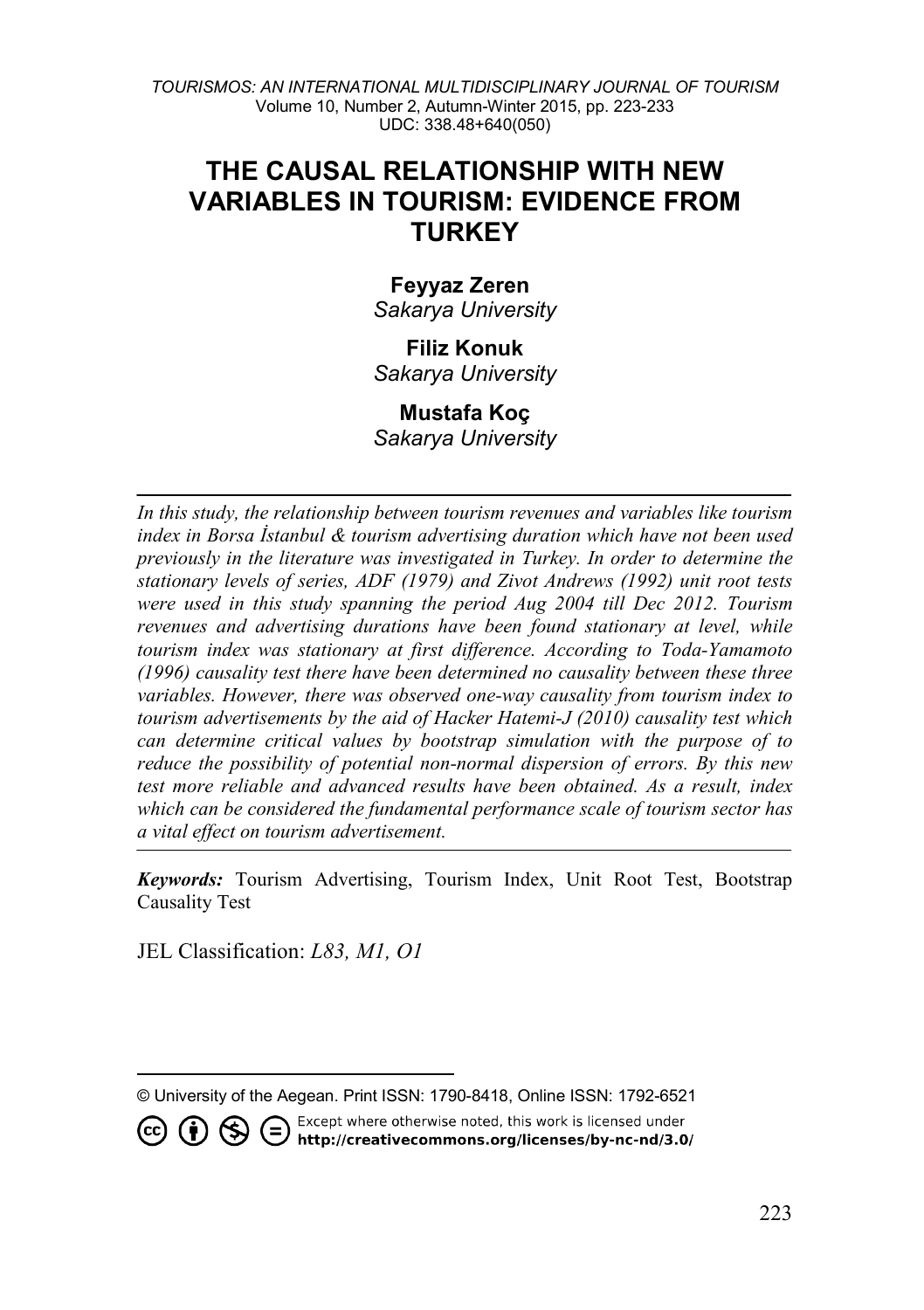*TOURISMOS: AN INTERNATIONAL MULTIDISCIPLINARY JOURNAL OF TOURISM* Volume 10, Number 2, Autumn-Winter 2015, pp. 223-233 UDC: 338.48+640(050)

# **THE CAUSAL RELATIONSHIP WITH NEW VARIABLES IN TOURISM: EVIDENCE FROM TURKEY**

#### **Feyyaz Zeren**

*Sakarya University*

## **Filiz Konuk**

*Sakarya University* 

# **Mustafa Koç**

*Sakarya University*

*In this study, the relationship between tourism revenues and variables like tourism index in Borsa İstanbul & tourism advertising duration which have not been used previously in the literature was investigated in Turkey. In order to determine the stationary levels of series, ADF (1979) and Zivot Andrews (1992) unit root tests were used in this study spanning the period Aug 2004 till Dec 2012. Tourism revenues and advertising durations have been found stationary at level, while tourism index was stationary at first difference. According to Toda-Yamamoto (1996) causality test there have been determined no causality between these three variables. However, there was observed one-way causality from tourism index to tourism advertisements by the aid of Hacker Hatemi-J (2010) causality test which can determine critical values by bootstrap simulation with the purpose of to reduce the possibility of potential non-normal dispersion of errors. By this new test more reliable and advanced results have been obtained. As a result, index which can be considered the fundamental performance scale of tourism sector has a vital effect on tourism advertisement.*

*Keywords:* Tourism Advertising, Tourism Index, Unit Root Test, Bootstrap Causality Test

JEL Classification: *L83, M1, O1*

 $\overline{a}$ © University of the Aegean. Print ISSN: 1790-8418, Online ISSN: 1792-6521

<span id="page-0-0"></span>Except where otherwise noted, this work is licensed under CO CO S C Except where otherwise noted, this work is licensed under<br>http://creativecommons.org/licenses/by-nc-nd/3.0/

223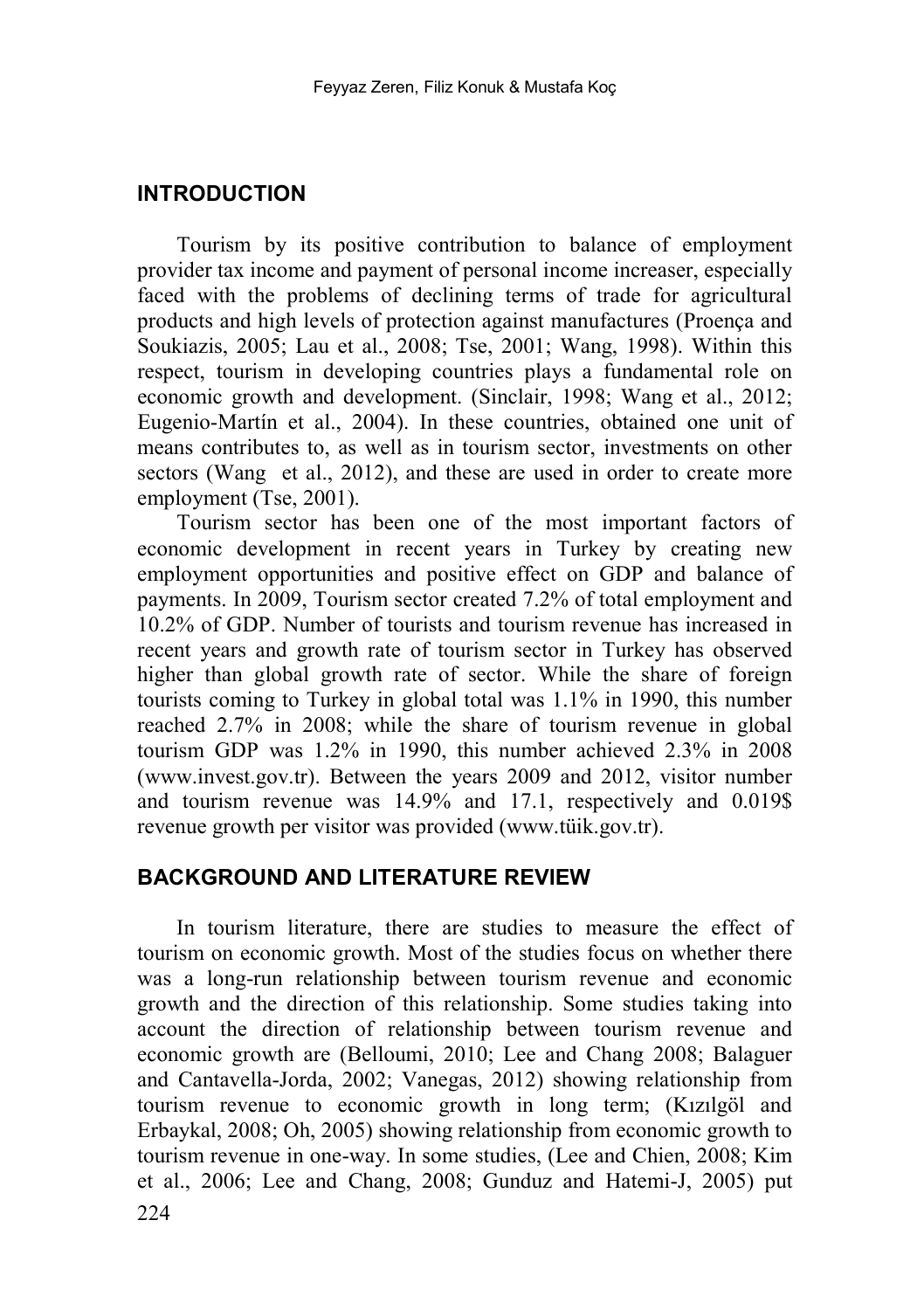#### **INTRODUCTION**

Tourism by its positive contribution to balance of employment provider tax income and payment of personal income increaser, especially faced with the problems of declining terms of trade for agricultural products and high levels of protection against manufactures (Proença and Soukiazis, 2005; Lau et al., 2008; Tse, 2001; Wang, 1998). Within this respect, tourism in developing countries plays a fundamental role on economic growth and development. (Sinclair, 1998; Wang et al., 2012; Eugenio-Martín et al., 2004). In these countries, obtained one unit of means contributes to, as well as in tourism sector, investments on other sectors (Wang et al., 2012), and these are used in order to create more employment (Tse, 2001).

Tourism sector has been one of the most important factors of economic development in recent years in Turkey by creating new employment opportunities and positive effect on GDP and balance of payments. In 2009, Tourism sector created 7.2% of total employment and 10.2% of GDP. Number of tourists and tourism revenue has increased in recent years and growth rate of tourism sector in Turkey has observed higher than global growth rate of sector. While the share of foreign tourists coming to Turkey in global total was 1.1% in 1990, this number reached 2.7% in 2008; while the share of tourism revenue in global tourism GDP was 1.2% in 1990, this number achieved 2.3% in 2008 (www.invest.gov.tr). Between the years 2009 and 2012, visitor number and tourism revenue was 14.9% and 17.1, respectively and 0.019\$ revenue growth per visitor was provided (www.tüik.gov.tr).

#### **BACKGROUND AND LITERATURE REVIEW**

In tourism literature, there are studies to measure the effect of tourism on economic growth. Most of the studies focus on whether there was a long-run relationship between tourism revenue and economic growth and the direction of this relationship. Some studies taking into account the direction of relationship between tourism revenue and economic growth are (Belloumi, 2010; Lee and Chang 2008; Balaguer and Cantavella-Jorda, 2002; Vanegas, 2012) showing relationship from tourism revenue to economic growth in long term; (Kızılgöl and Erbaykal, 2008; Oh, 2005) showing relationship from economic growth to tourism revenue in one-way. In some studies, (Lee and Chien, 2008; Kim et al., 2006; Lee and Chang, 2008; Gunduz and Hatemi-J, 2005) put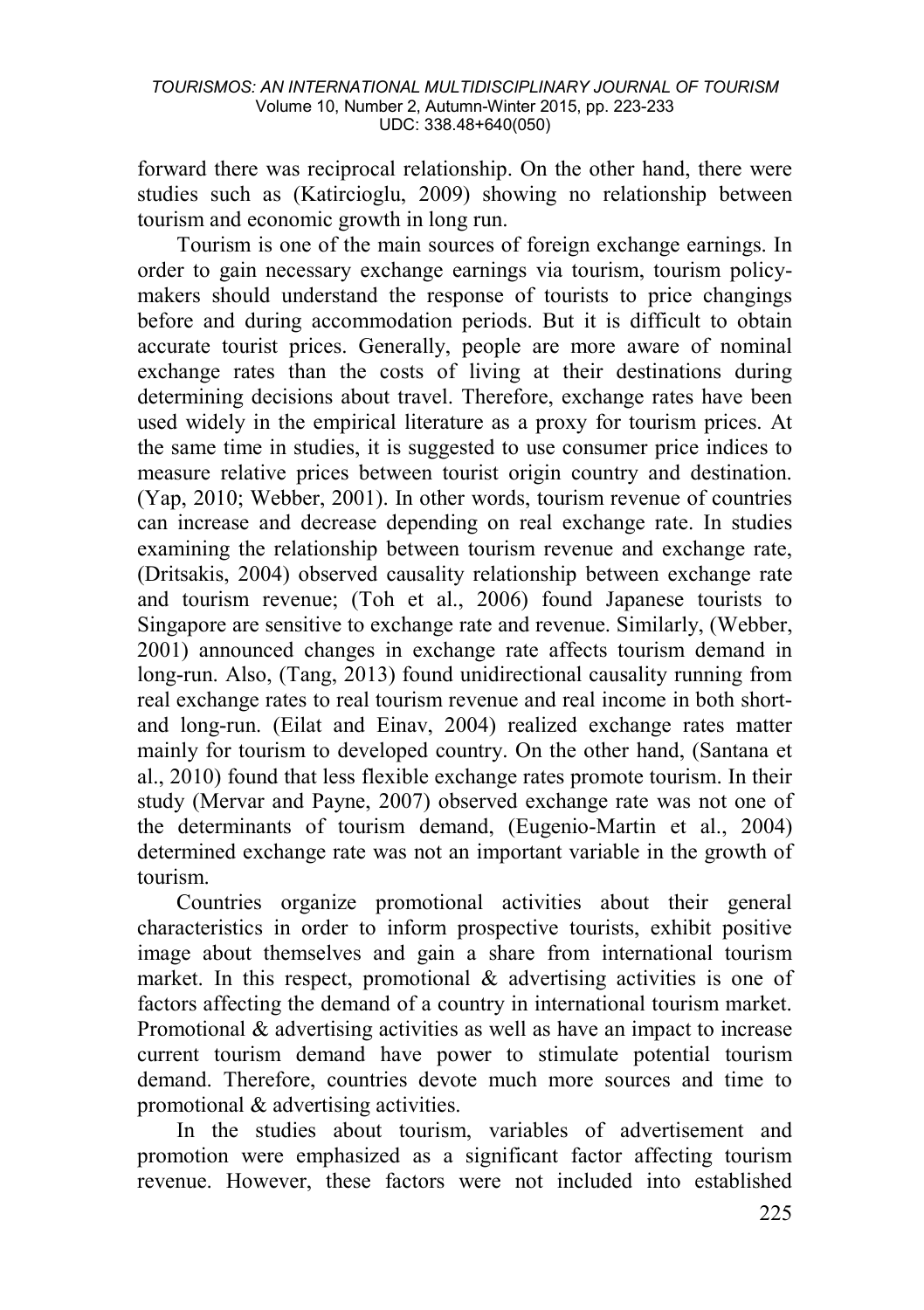forward there was reciprocal relationship. On the other hand, there were studies such as (Katircioglu, 2009) showing no relationship between tourism and economic growth in long run.

Tourism is one of the main sources of foreign exchange earnings. In order to gain necessary exchange earnings via tourism, tourism policymakers should understand the response of tourists to price changings before and during accommodation periods. But it is difficult to obtain accurate tourist prices. Generally, people are more aware of nominal exchange rates than the costs of living at their destinations during determining decisions about travel. Therefore, exchange rates have been used widely in the empirical literature as a proxy for tourism prices. At the same time in studies, it is suggested to use consumer price indices to measure relative prices between tourist origin country and destination. (Yap, 2010; Webber, 2001). In other words, tourism revenue of countries can increase and decrease depending on real exchange rate. In studies examining the relationship between tourism revenue and exchange rate, (Dritsakis, 2004) observed causality relationship between exchange rate and tourism revenue; (Toh et al., 2006) found Japanese tourists to Singapore are sensitive to exchange rate and revenue. Similarly, (Webber, 2001) announced changes in exchange rate affects tourism demand in long-run. Also, (Tang, 2013) found unidirectional causality running from real exchange rates to real tourism revenue and real income in both shortand long-run. (Eilat and Einav, 2004) realized exchange rates matter mainly for tourism to developed country. On the other hand, (Santana et al., 2010) found that less flexible exchange rates promote tourism. In their study (Mervar and Payne, 2007) observed exchange rate was not one of the determinants of tourism demand, (Eugenio-Martin et al., 2004) determined exchange rate was not an important variable in the growth of tourism.

Countries organize promotional activities about their general characteristics in order to inform prospective tourists, exhibit positive image about themselves and gain a share from international tourism market. In this respect, promotional & advertising activities is one of factors affecting the demand of a country in international tourism market. Promotional & advertising activities as well as have an impact to increase current tourism demand have power to stimulate potential tourism demand. Therefore, countries devote much more sources and time to promotional & advertising activities.

In the studies about tourism, variables of advertisement and promotion were emphasized as a significant factor affecting tourism revenue. However, these factors were not included into established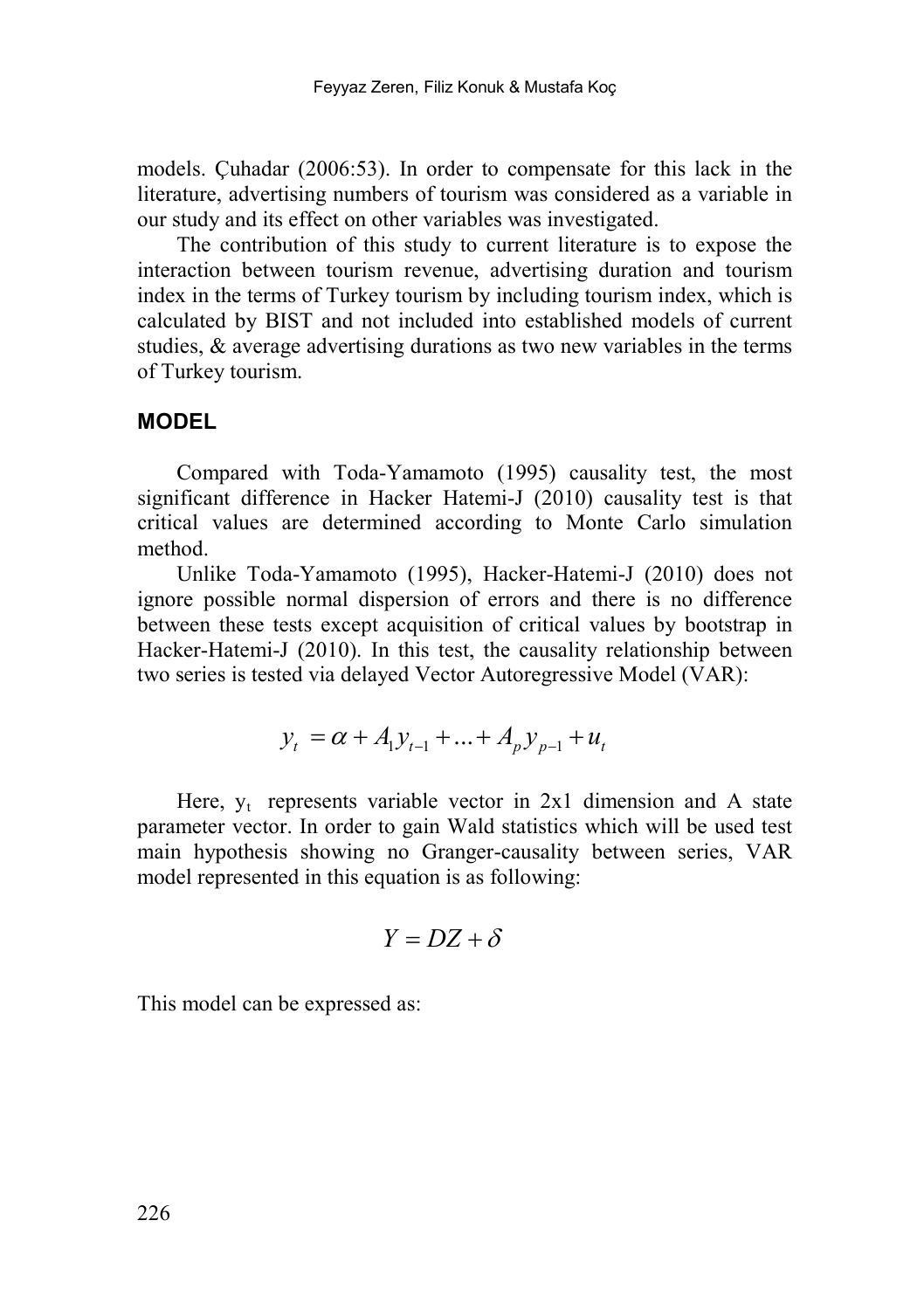models. Çuhadar (2006:53). In order to compensate for this lack in the literature, advertising numbers of tourism was considered as a variable in our study and its effect on other variables was investigated.

The contribution of this study to current literature is to expose the interaction between tourism revenue, advertising duration and tourism index in the terms of Turkey tourism by including tourism index, which is calculated by BIST and not included into established models of current studies, & average advertising durations as two new variables in the terms of Turkey tourism.

#### **MODEL**

Compared with Toda-Yamamoto (1995) causality test, the most significant difference in Hacker Hatemi-J (2010) causality test is that critical values are determined according to Monte Carlo simulation method.

Unlike Toda-Yamamoto (1995), Hacker-Hatemi-J (2010) does not ignore possible normal dispersion of errors and there is no difference between these tests except acquisition of critical values by bootstrap in Hacker-Hatemi-J (2010). In this test, the causality relationship between two series is tested via delayed Vector Autoregressive Model (VAR):

$$
y_t = \alpha + A_1 y_{t-1} + \dots + A_p y_{p-1} + u_t
$$

Here,  $y_t$  represents variable vector in 2x1 dimension and A state parameter vector. In order to gain Wald statistics which will be used test main hypothesis showing no Granger-causality between series, VAR model represented in this equation is as following:

$$
Y = DZ + \delta
$$

This model can be expressed as: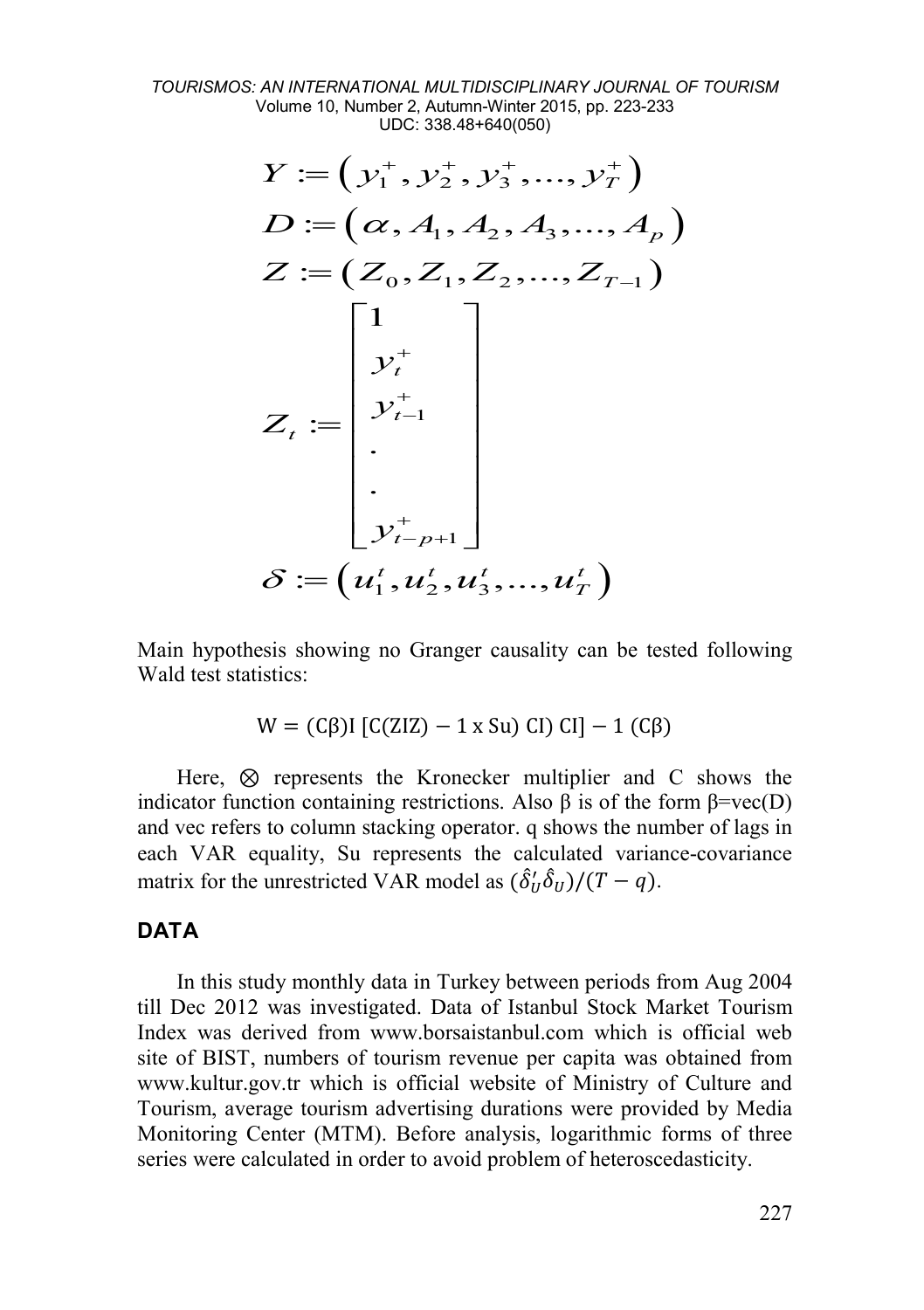*TOURISMOS: AN INTERNATIONAL MULTIDISCIPLINARY JOURNAL OF TOURISM* Volume 10, Number 2, Autumn-Winter 2015, pp. 223-233 UDC: 338.48+640(050)

$$
Y := (y_1^+, y_2^+, y_3^+, ..., y_T^+)
$$
  
\n
$$
D := (\alpha, A_1, A_2, A_3, ..., A_p)
$$
  
\n
$$
Z := (Z_0, Z_1, Z_2, ..., Z_{T-1})
$$
  
\n
$$
\begin{bmatrix}\n1 \\
y_t^+ \\
\vdots \\
y_{t-1}^+ \\
\vdots \\
y_{t-p+1}^+ \\
\delta := (u_1^t, u_2^t, u_3^t, ..., u_T^t)
$$

Main hypothesis showing no Granger causality can be tested following Wald test statistics<sup>.</sup>

$$
W = (C\beta)I [C(ZIZ) - 1 \times Su) CI] - 1 (C\beta)
$$

Here, ⊗ represents the Kronecker multiplier and C shows the indicator function containing restrictions. Also β is of the form  $β = vec(D)$ and vec refers to column stacking operator. q shows the number of lags in each VAR equality, Su represents the calculated variance-covariance matrix for the unrestricted VAR model as  $(\delta'_U \delta_U)/(T - q)$ .

#### **DATA**

In this study monthly data in Turkey between periods from Aug 2004 till Dec 2012 was investigated. Data of Istanbul Stock Market Tourism Index was derived from [www.borsaistanbul.com](http://www.borsaistanbul.com/) which is official web site of BIST, numbers of tourism revenue per capita was obtained from [www.kultur.gov.tr](http://www.kultur.gov.tr/) which is official website of Ministry of Culture and Tourism, average tourism advertising durations were provided by Media Monitoring Center (MTM). Before analysis, logarithmic forms of three series were calculated in order to avoid problem of heteroscedasticity.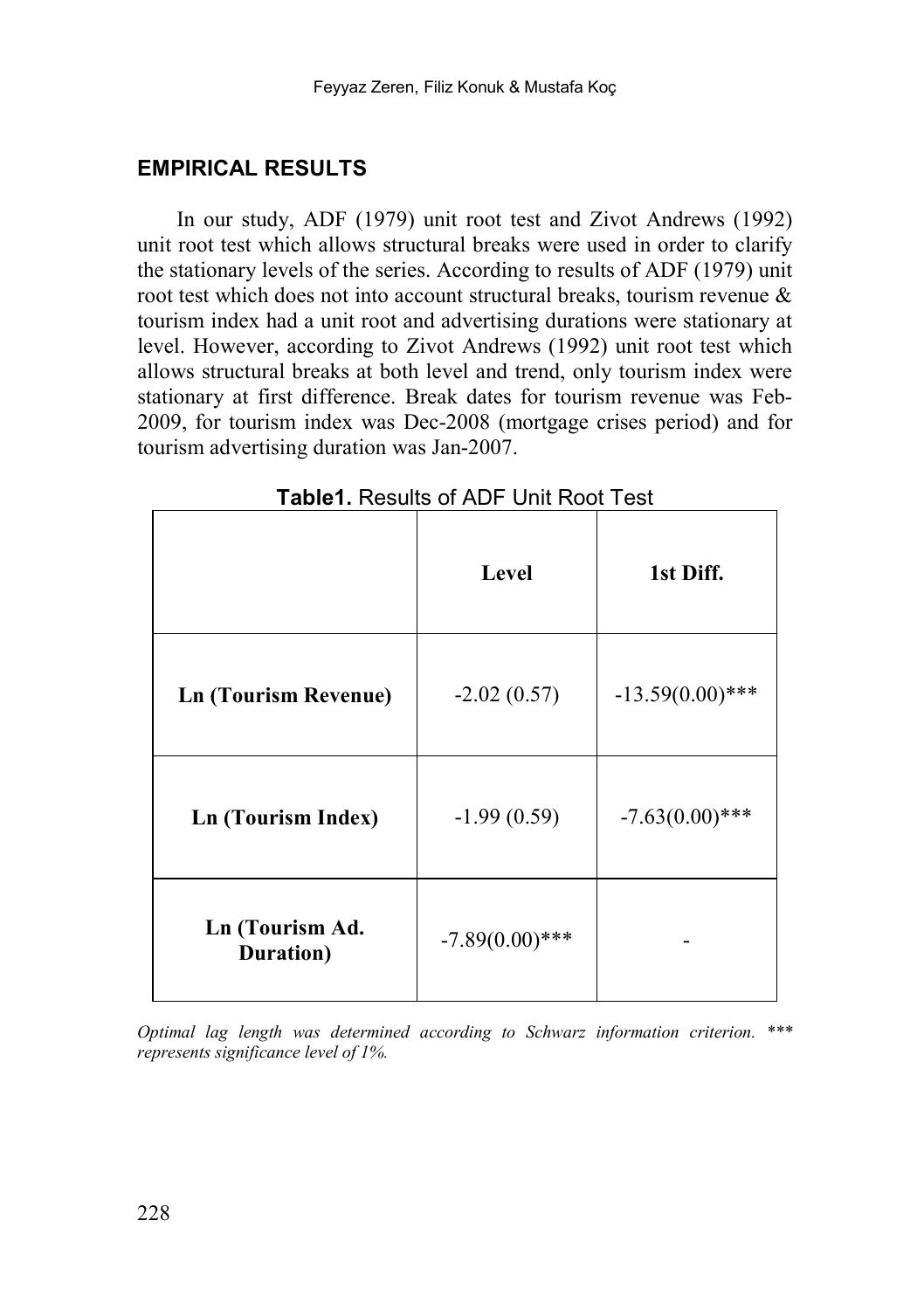#### **EMPIRICAL RESULTS**

In our study, ADF (1979) unit root test and Zivot Andrews (1992) unit root test which allows structural breaks were used in order to clarify the stationary levels of the series. According to results of ADF (1979) unit root test which does not into account structural breaks, tourism revenue & tourism index had a unit root and advertising durations were stationary at level. However, according to Zivot Andrews (1992) unit root test which allows structural breaks at both level and trend, only tourism index were stationary at first difference. Break dates for tourism revenue was Feb-2009, for tourism index was Dec-2008 (mortgage crises period) and for tourism advertising duration was Jan-2007.

|                              | Level             | 1st Diff.          |
|------------------------------|-------------------|--------------------|
| <b>Ln (Tourism Revenue)</b>  | $-2.02(0.57)$     | $-13.59(0.00)$ *** |
| <b>Ln (Tourism Index)</b>    | $-1.99(0.59)$     | $-7.63(0.00)$ ***  |
| Ln (Tourism Ad.<br>Duration) | $-7.89(0.00)$ *** |                    |

**Table1.** Results of ADF Unit Root Test

*Optimal lag length was determined according to Schwarz information criterion. \*\*\* represents significance level of 1%.*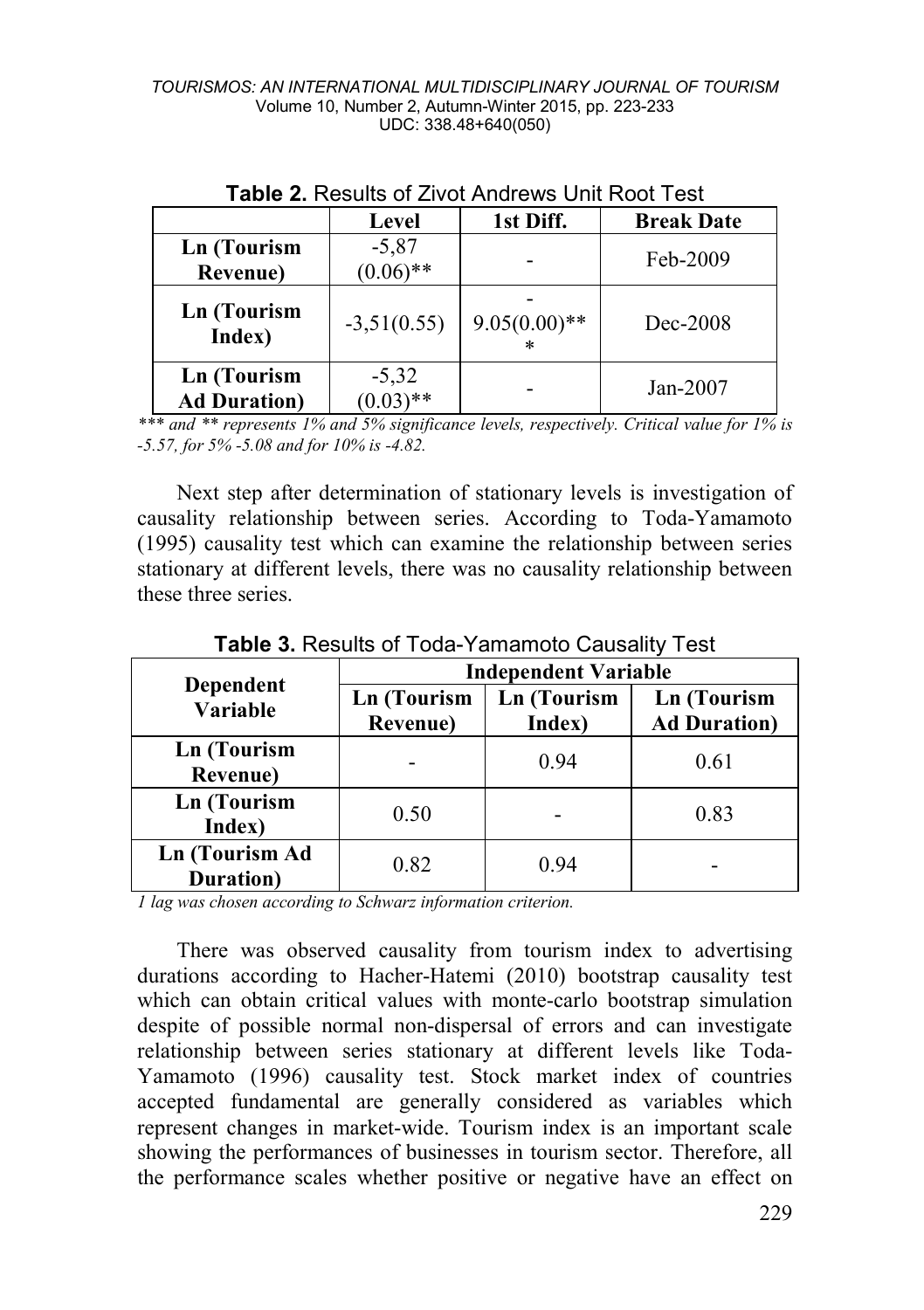|                                            | Level                  | 1st Diff.       | <b>Break Date</b> |
|--------------------------------------------|------------------------|-----------------|-------------------|
| Ln (Tourism<br>Revenue)                    | $-5,87$<br>$(0.06)$ ** |                 | Feb-2009          |
| <b>Ln</b> (Tourism<br>Index)               | $-3,51(0.55)$          | $9.05(0.00)$ ** | Dec-2008          |
| <b>Ln</b> (Tourism<br><b>Ad Duration</b> ) | $-5,32$<br>$(0.03)$ ** |                 | $Jan-2007$        |

**Table 2.** Results of Zivot Andrews Unit Root Test

*\*\*\* and \*\* represents 1% and 5% significance levels, respectively. Critical value for 1% is -5.57, for 5% -5.08 and for 10% is -4.82.*

Next step after determination of stationary levels is investigation of causality relationship between series. According to Toda-Yamamoto (1995) causality test which can examine the relationship between series stationary at different levels, there was no causality relationship between these three series.

|                                        | <b>Independent Variable</b>            |                              |                                            |  |
|----------------------------------------|----------------------------------------|------------------------------|--------------------------------------------|--|
| Dependent<br>Variable                  | <b>Ln</b> (Tourism<br><b>Revenue</b> ) | <b>Ln</b> (Tourism<br>Index) | <b>Ln</b> (Tourism<br><b>Ad Duration</b> ) |  |
|                                        |                                        |                              |                                            |  |
| <b>Ln</b> (Tourism<br><b>Revenue</b> ) |                                        | 0.94                         | 0.61                                       |  |
| <b>Ln</b> (Tourism<br>Index)           | 0.50                                   |                              | 0.83                                       |  |
| <b>Ln</b> (Tourism Ad<br>Duration)     | 0.82                                   | 0.94                         |                                            |  |

**Table 3.** Results of Toda-Yamamoto Causality Test

*1 lag was chosen according to Schwarz information criterion.*

There was observed causality from tourism index to advertising durations according to Hacher-Hatemi (2010) bootstrap causality test which can obtain critical values with monte-carlo bootstrap simulation despite of possible normal non-dispersal of errors and can investigate relationship between series stationary at different levels like Toda-Yamamoto (1996) causality test. Stock market index of countries accepted fundamental are generally considered as variables which represent changes in market-wide. Tourism index is an important scale showing the performances of businesses in tourism sector. Therefore, all the performance scales whether positive or negative have an effect on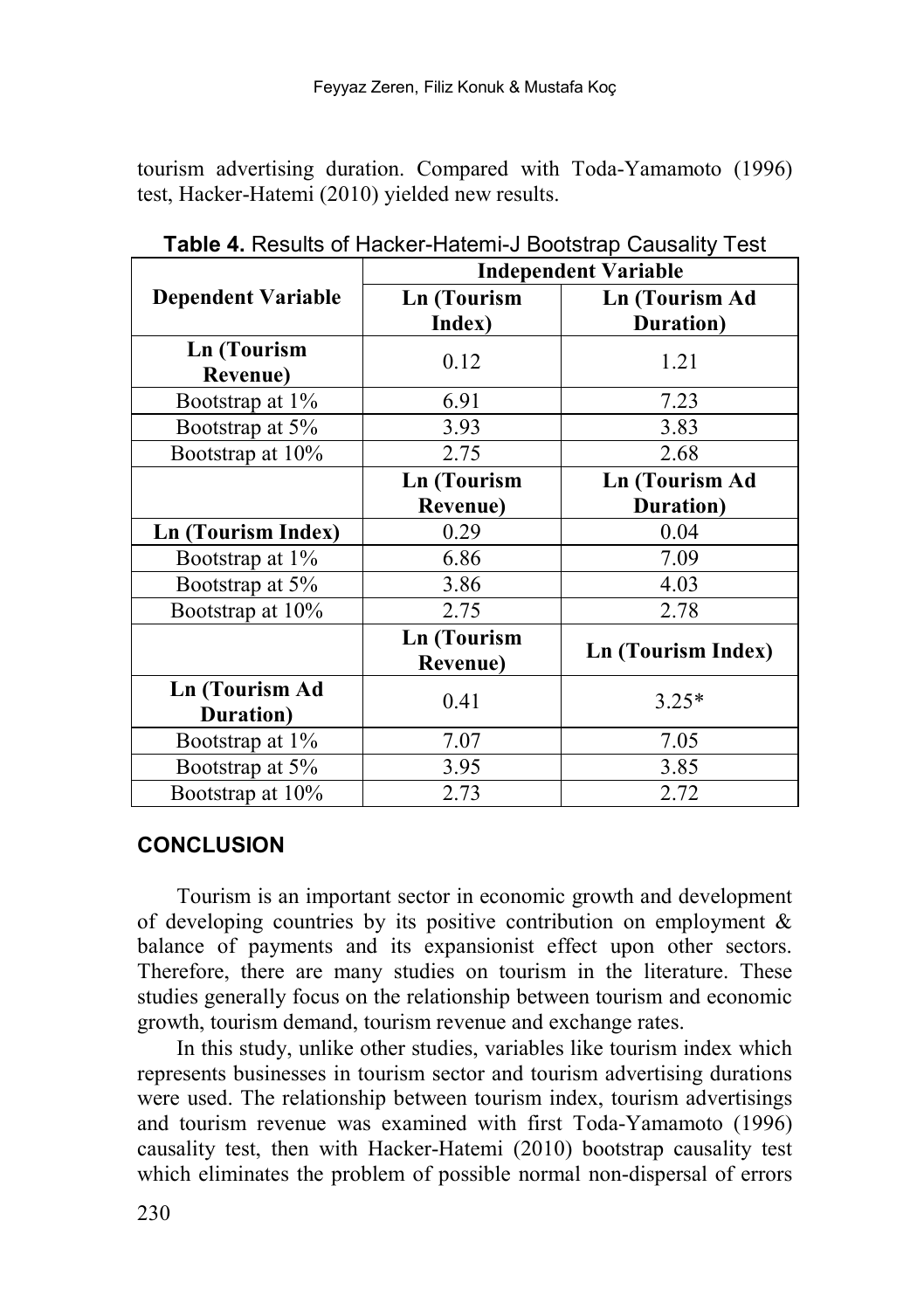tourism advertising duration. Compared with Toda-Yamamoto (1996) test, Hacker-Hatemi (2010) yielded new results.

|                                        | <b>Independent Variable</b>    |                    |  |
|----------------------------------------|--------------------------------|--------------------|--|
| <b>Dependent Variable</b>              | <b>Ln</b> (Tourism             | Ln (Tourism Ad     |  |
|                                        | Index)                         | Duration)          |  |
| <b>Ln</b> (Tourism<br><b>Revenue</b> ) | 0.12                           | 1.21               |  |
| Bootstrap at 1\%                       | 6.91                           | 7.23               |  |
| Bootstrap at 5%                        | 3.93                           | 3.83               |  |
| Bootstrap at 10%                       | 2.75                           | 2.68               |  |
|                                        | <b>Ln</b> (Tourism             | Ln (Tourism Ad     |  |
|                                        | <b>Revenue</b> )               | Duration)          |  |
| Ln (Tourism Index)                     | 0.29                           | 0.04               |  |
| Bootstrap at 1%                        | 6.86                           | 7.09               |  |
| Bootstrap at 5%                        | 3.86                           | 4.03               |  |
| Bootstrap at 10%                       | 2.75                           | 2.78               |  |
|                                        | <b>Ln</b> (Tourism<br>Revenue) | Ln (Tourism Index) |  |
| <b>Ln</b> (Tourism Ad<br>Duration)     | 0.41                           | $3.25*$            |  |
| Bootstrap at 1%                        | 7.07                           | 7.05               |  |
| Bootstrap at 5%                        | 3.95                           | 3.85               |  |
| Bootstrap at 10%                       | 2.73                           | 2.72               |  |

**Table 4.** Results of Hacker-Hatemi-J Bootstrap Causality Test

### **CONCLUSION**

Tourism is an important sector in economic growth and development of developing countries by its positive contribution on employment & balance of payments and its expansionist effect upon other sectors. Therefore, there are many studies on tourism in the literature. These studies generally focus on the relationship between tourism and economic growth, tourism demand, tourism revenue and exchange rates.

In this study, unlike other studies, variables like tourism index which represents businesses in tourism sector and tourism advertising durations were used. The relationship between tourism index, tourism advertisings and tourism revenue was examined with first Toda-Yamamoto (1996) causality test, then with Hacker-Hatemi (2010) bootstrap causality test which eliminates the problem of possible normal non-dispersal of errors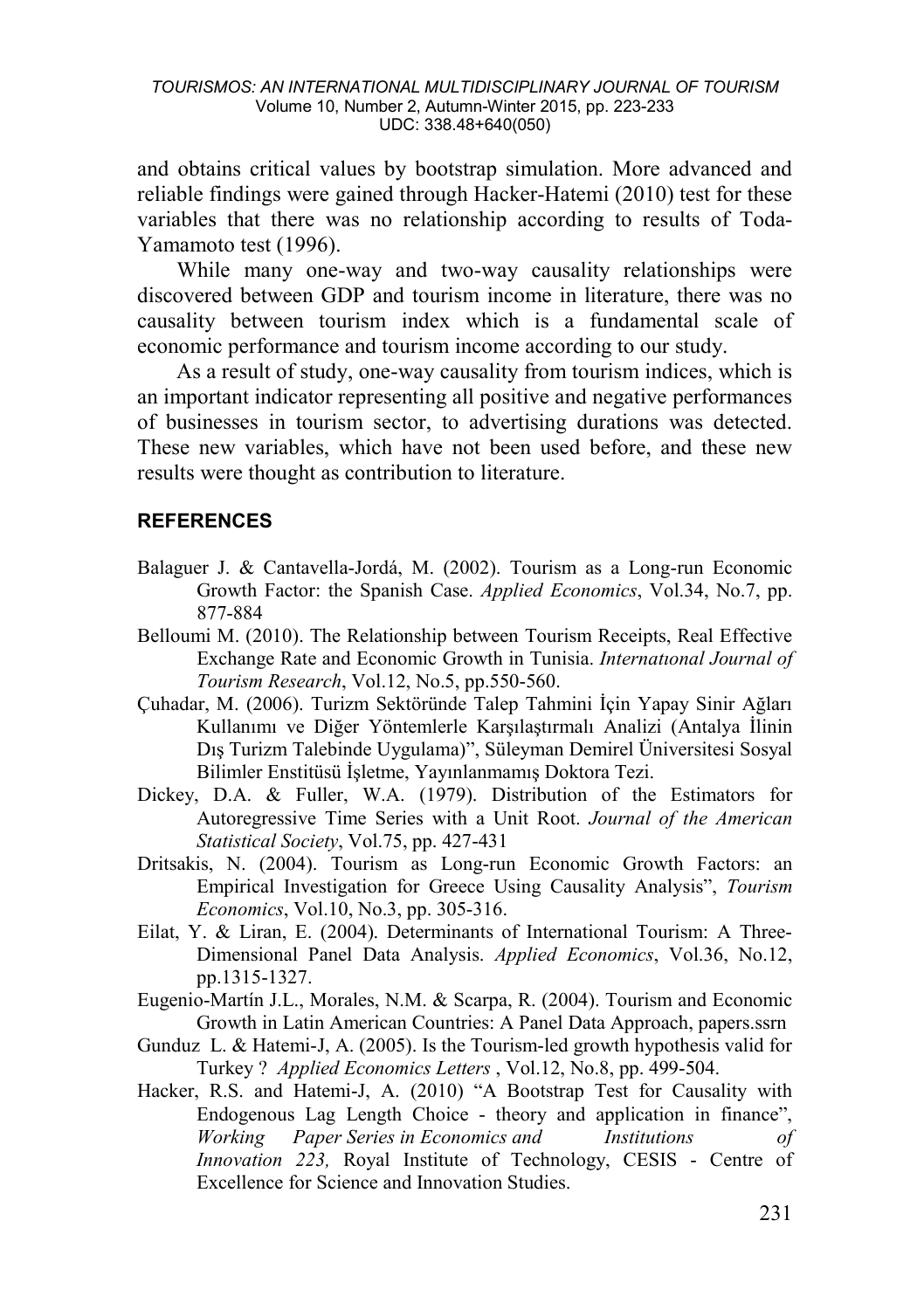and obtains critical values by bootstrap simulation. More advanced and reliable findings were gained through Hacker-Hatemi (2010) test for these variables that there was no relationship according to results of Toda-Yamamoto test (1996).

While many one-way and two-way causality relationships were discovered between GDP and tourism income in literature, there was no causality between tourism index which is a fundamental scale of economic performance and tourism income according to our study.

As a result of study, one-way causality from tourism indices, which is an important indicator representing all positive and negative performances of businesses in tourism sector, to advertising durations was detected. These new variables, which have not been used before, and these new results were thought as contribution to literature.

#### **REFERENCES**

- Balaguer J. & Cantavella-Jordá, M. (2002). Tourism as a Long-run Economic Growth Factor: the Spanish Case. *Applied Economics*, Vol.34, No.7, pp. 877-884
- Belloumi M. (2010). The Relationship between Tourism Receipts, Real Effective Exchange Rate and Economic Growth in Tunisia. *Internatıonal Journal of Tourism Research*, Vol.12, No.5, pp.550-560.
- Çuhadar, M. (2006). Turizm Sektöründe Talep Tahmini İçin Yapay Sinir Ağları Kullanımı ve Diğer Yöntemlerle Karşılaştırmalı Analizi (Antalya İlinin Dış Turizm Talebinde Uygulama)", Süleyman Demirel Üniversitesi Sosyal Bilimler Enstitüsü İşletme, Yayınlanmamış Doktora Tezi.
- Dickey, D.A. & Fuller, W.A. (1979). Distribution of the Estimators for Autoregressive Time Series with a Unit Root. *Journal of the American Statistical Society*, Vol.75, pp. 427-431
- Dritsakis, N. (2004). Tourism as Long-run Economic Growth Factors: an Empirical Investigation for Greece Using Causality Analysis", *Tourism Economics*, Vol.10, No.3, pp. 305-316.
- Eilat, Y. & Liran, E. (2004). Determinants of International Tourism: A Three-Dimensional Panel Data Analysis. *Applied Economics*, Vol.36, No.12, pp.1315-1327.
- Eugenio-Martín J.L., Morales, N.M. & Scarpa, R. (2004). Tourism and Economic Growth in Latin American Countries: A Panel Data Approach, papers.ssrn
- Gunduz L. & Hatemi-J, A. (2005). Is the Tourism-led growth hypothesis valid for Turkey ? *Applied Economics Letters* , [Vol.12,](http://www.tandfonline.com/loi/rael20?open=12#vol_12) N[o.8,](http://www.tandfonline.com/toc/rael20/12/8) pp. 499-504.
- Hacker, R.S. and Hatemi-J, A. (2010) "A Bootstrap Test for Causality with Endogenous Lag Length Choice - theory and application in finance", *Working Paper Series in Economics and Institutions of Innovation 223,* Royal Institute of Technology, CESIS - Centre of Excellence for Science and Innovation Studies.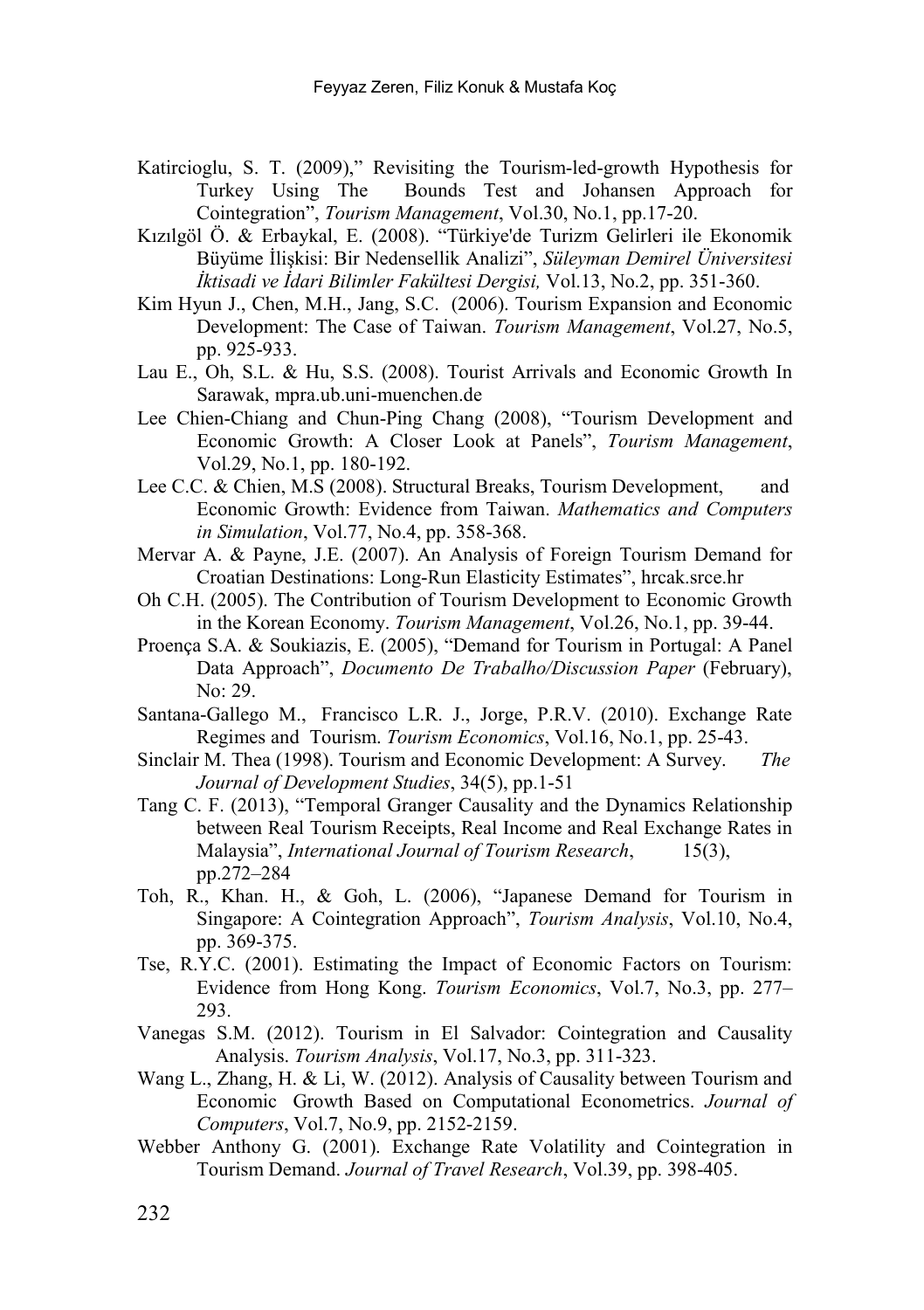- Katircioglu, S. [T. \(](http://www.sciencedirect.com/science/article/pii/S0261517708000794)2009)," Revisiting the Tourism-led-growth Hypothesis for Bounds Test and Johansen Approach for Cointegration", *Tourism Management*, Vol.30, No.1, pp.17-20.
- Kızılgöl Ö. & Erbaykal, E. (2008). "Türkiye'de Turizm Gelirleri ile Ekonomik Büyüme İlişkisi: Bir Nedensellik Analizi", *Süleyman Demirel Üniversitesi İktisadi ve İdari Bilimler Fakültesi Dergisi,* Vol.13, No.2, pp. 351-360.
- Kim Hyun J., Chen, M.H., Jang, S.C. (2006). Tourism Expansion and Economic Development: The Case of Taiwan. *Tourism Management*, Vol.27, No.5, pp. 925-933.
- Lau E., Oh, S.L. & Hu, S.S. (2008). Tourist Arrivals and Economic Growth In Sarawak, mpra.ub.uni-muenchen.de
- Lee Chien-Chiang and Chun-Ping Chang (2008), "Tourism Development and Economic Growth: A Closer Look at Panels", *Tourism Management*, Vol.29, No.1, pp. 180-192.
- Lee C.C. & Chien, M.S (2008). Structural Breaks, Tourism Development, and Economic Growth: Evidence from Taiwan. *Mathematics and Computers in Simulation*, Vol.77, No.4, pp. 358-368.
- Mervar A. & Payne, J.E. (2007). An Analysis of Foreign Tourism Demand for Croatian Destinations: Long-Run Elasticity Estimates", hrcak.srce.hr
- Oh C.H. (2005). The Contribution of Tourism Development to Economic Growth in the Korean Economy. *Tourism Management*, Vo[l.26, No.1,](http://www.sciencedirect.com/science/journal/02615177/26/1) pp. 39-44.
- Proença S.A. & Soukiazis, E. (2005), "Demand for Tourism in Portugal: A Panel Data Approach", *Documento De Trabalho/Discussion Paper* (February),  $\text{No: } 29$
- Santana-Gallego M., Francisco L.R. J., Jorge, P.R.V. (2010). Exchange Rate Regimes and Tourism. *[Tourism Economics](http://www.ingentaconnect.com/content/ip/tec)*, Vol.16, No.1, pp. 25-43.
- Sinclair M. Thea (1998). Tourism and Economic Development: A Survey. *The Journal of Development Studies*, 34(5), pp.1-51
- Tang C. F. (2013), "Temporal Granger Causality and the Dynamics Relationship between Real Tourism Receipts, Real Income and Real Exchange Rates in Malaysia", *International Journal of Tourism Research*, 15(3), pp.272–284
- Toh, R., Khan. H., & Goh, L. (2006), "Japanese Demand for Tourism in Singapore: A Cointegration Approach", *Tourism Analysis*, Vol.10, No.4, pp. 369-375.
- Tse, R.Y.C. (2001). Estimating the Impact of Economic Factors on Tourism: Evidence from Hong Kong. *Tourism Economics*, Vol.7, No.3, pp. 277– 293.
- Vanegas S.M. (2012). Tourism in El Salvador: Cointegration and Causality Analysis. *[Tourism Analysis](http://www.ingentaconnect.com/content/cog/ta)*, Vol.17, No.3, pp. 311-323.
- Wang L., Zhang, H. & Li, W. (2012). Analysis of Causality between Tourism and Economic Growth Based on Computational Econometrics. *Journal of Computers*, Vol.7, No.9, pp. 2152-2159.
- Webber Anthony G. (2001). Exchange Rate Volatility and Cointegration in Tourism Demand. *Journal of Travel Research*, Vol.39, pp. 398-405.